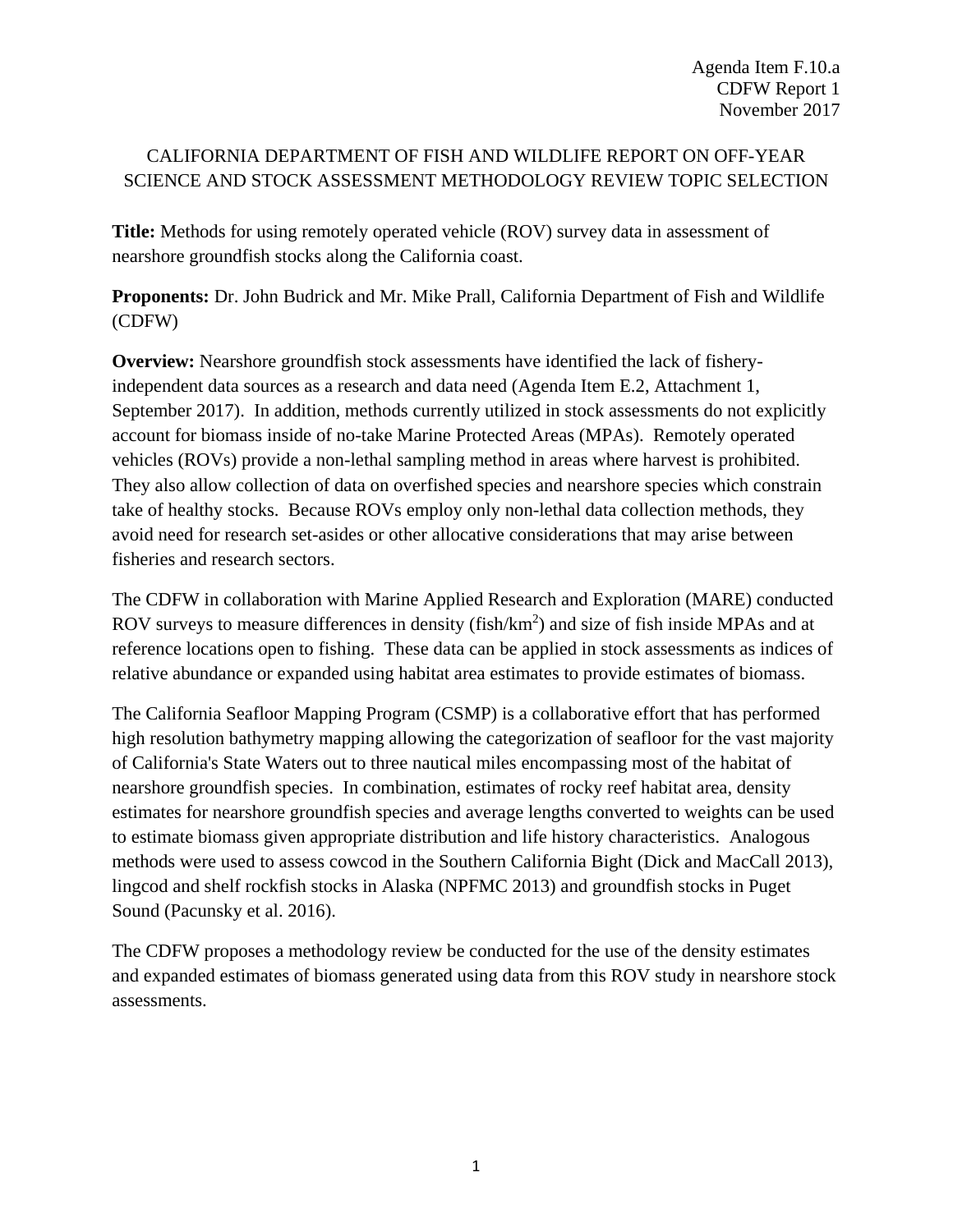# CALIFORNIA DEPARTMENT OF FISH AND WILDLIFE REPORT ON OFF-YEAR SCIENCE AND STOCK ASSESSMENT METHODOLOGY REVIEW TOPIC SELECTION

**Title:** Methods for using remotely operated vehicle (ROV) survey data in assessment of nearshore groundfish stocks along the California coast.

**Proponents:** Dr. John Budrick and Mr. Mike Prall, California Department of Fish and Wildlife (CDFW)

**Overview:** Nearshore groundfish stock assessments have identified the lack of fisheryindependent data sources as a research and data need (Agenda Item [E.2, Attachment 1,](http://www.pcouncil.org/wp-content/uploads/2017/08/E2_Att1_E-Only_ResearchDataNeeds_OffYearScience_SEPT2017BB.pdf) September 2017). In addition, methods currently utilized in stock assessments do not explicitly account for biomass inside of no-take Marine Protected Areas (MPAs). Remotely operated vehicles (ROVs) provide a non-lethal sampling method in areas where harvest is prohibited. They also allow collection of data on overfished species and nearshore species which constrain take of healthy stocks. Because ROVs employ only non-lethal data collection methods, they avoid need for research set-asides or other allocative considerations that may arise between fisheries and research sectors.

The CDFW in collaboration with Marine Applied Research and Exploration (MARE) conducted ROV surveys to measure differences in density (fish/ $km^2$ ) and size of fish inside MPAs and at reference locations open to fishing. These data can be applied in stock assessments as indices of relative abundance or expanded using habitat area estimates to provide estimates of biomass.

The California Seafloor Mapping Program (CSMP) is a collaborative effort that has performed high resolution bathymetry mapping allowing the categorization of seafloor for the vast majority of California's State Waters out to three nautical miles encompassing most of the habitat of nearshore groundfish species. In combination, estimates of rocky reef habitat area, density estimates for nearshore groundfish species and average lengths converted to weights can be used to estimate biomass given appropriate distribution and life history characteristics. Analogous methods were used to assess cowcod in the Southern California Bight (Dick and MacCall 2013), lingcod and shelf rockfish stocks in Alaska (NPFMC 2013) and groundfish stocks in Puget Sound (Pacunsky et al. 2016).

The CDFW proposes a methodology review be conducted for the use of the density estimates and expanded estimates of biomass generated using data from this ROV study in nearshore stock assessments.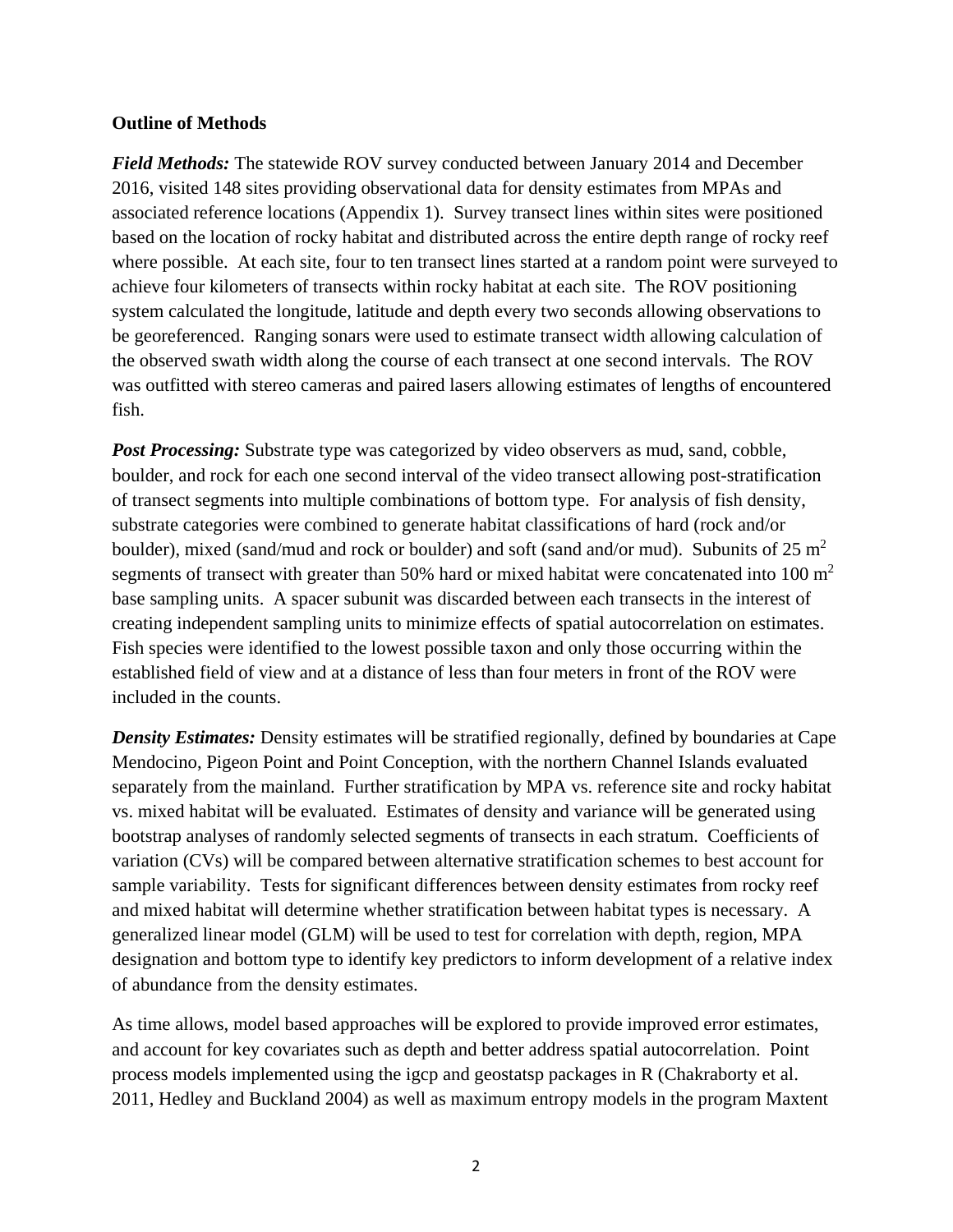#### **Outline of Methods**

*Field Methods:* The statewide ROV survey conducted between January 2014 and December 2016, visited 148 sites providing observational data for density estimates from MPAs and associated reference locations (Appendix 1). Survey transect lines within sites were positioned based on the location of rocky habitat and distributed across the entire depth range of rocky reef where possible. At each site, four to ten transect lines started at a random point were surveyed to achieve four kilometers of transects within rocky habitat at each site. The ROV positioning system calculated the longitude, latitude and depth every two seconds allowing observations to be georeferenced. Ranging sonars were used to estimate transect width allowing calculation of the observed swath width along the course of each transect at one second intervals. The ROV was outfitted with stereo cameras and paired lasers allowing estimates of lengths of encountered fish.

*Post Processing:* Substrate type was categorized by video observers as mud, sand, cobble, boulder, and rock for each one second interval of the video transect allowing post-stratification of transect segments into multiple combinations of bottom type. For analysis of fish density, substrate categories were combined to generate habitat classifications of hard (rock and/or boulder), mixed (sand/mud and rock or boulder) and soft (sand and/or mud). Subunits of  $25 \text{ m}^2$ segments of transect with greater than 50% hard or mixed habitat were concatenated into 100  $m<sup>2</sup>$ base sampling units. A spacer subunit was discarded between each transects in the interest of creating independent sampling units to minimize effects of spatial autocorrelation on estimates. Fish species were identified to the lowest possible taxon and only those occurring within the established field of view and at a distance of less than four meters in front of the ROV were included in the counts.

*Density Estimates:* Density estimates will be stratified regionally, defined by boundaries at Cape Mendocino, Pigeon Point and Point Conception, with the northern Channel Islands evaluated separately from the mainland. Further stratification by MPA vs. reference site and rocky habitat vs. mixed habitat will be evaluated. Estimates of density and variance will be generated using bootstrap analyses of randomly selected segments of transects in each stratum. Coefficients of variation (CVs) will be compared between alternative stratification schemes to best account for sample variability. Tests for significant differences between density estimates from rocky reef and mixed habitat will determine whether stratification between habitat types is necessary. A generalized linear model (GLM) will be used to test for correlation with depth, region, MPA designation and bottom type to identify key predictors to inform development of a relative index of abundance from the density estimates.

As time allows, model based approaches will be explored to provide improved error estimates, and account for key covariates such as depth and better address spatial autocorrelation. Point process models implemented using the igcp and geostatsp packages in R (Chakraborty et al. 2011, Hedley and Buckland 2004) as well as maximum entropy models in the program Maxtent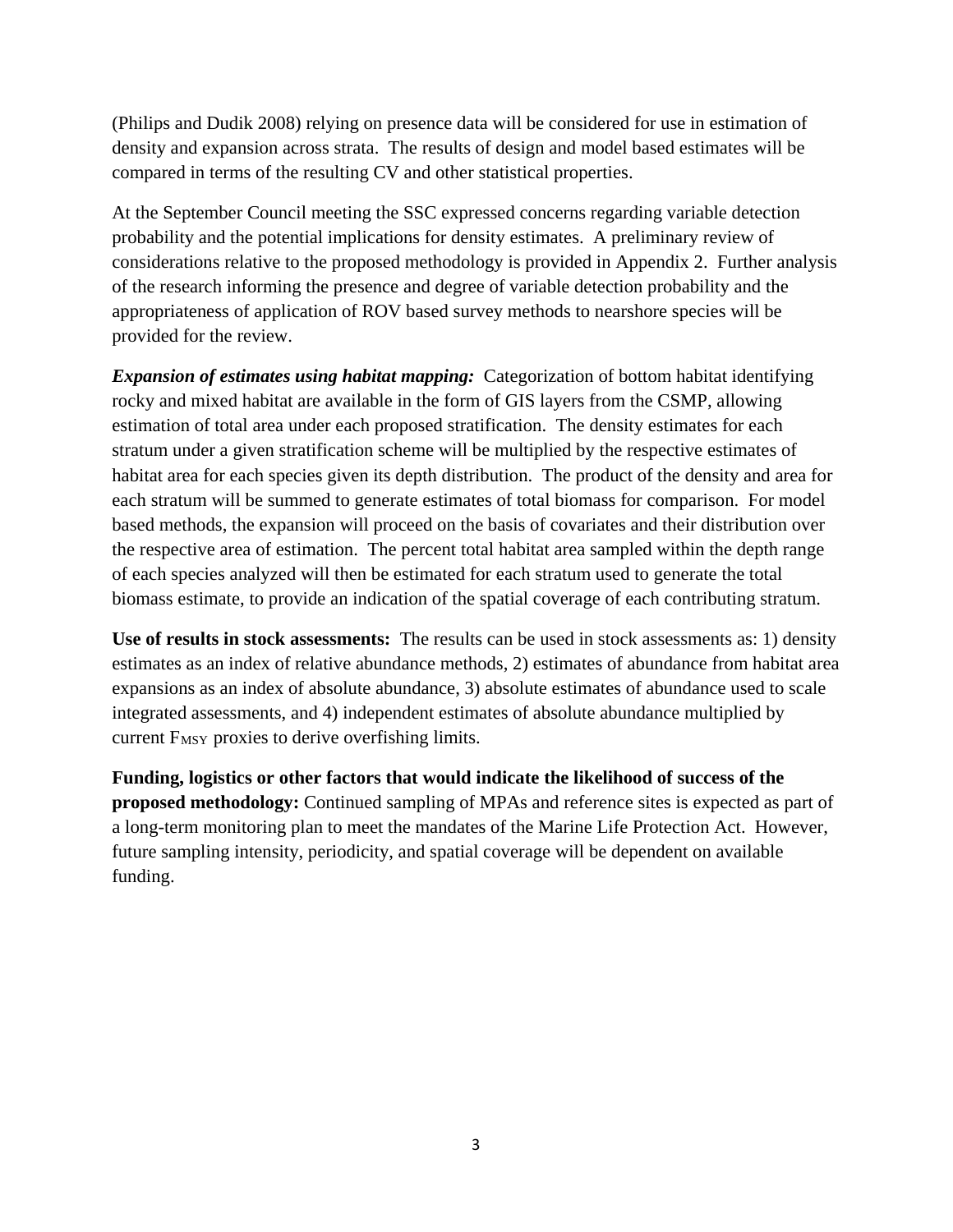(Philips and Dudik 2008) relying on presence data will be considered for use in estimation of density and expansion across strata. The results of design and model based estimates will be compared in terms of the resulting CV and other statistical properties.

At the September Council meeting the SSC expressed concerns regarding variable detection probability and the potential implications for density estimates. A preliminary review of considerations relative to the proposed methodology is provided in Appendix 2. Further analysis of the research informing the presence and degree of variable detection probability and the appropriateness of application of ROV based survey methods to nearshore species will be provided for the review.

*Expansion of estimates using habitat mapping:* Categorization of bottom habitat identifying rocky and mixed habitat are available in the form of GIS layers from the CSMP, allowing estimation of total area under each proposed stratification. The density estimates for each stratum under a given stratification scheme will be multiplied by the respective estimates of habitat area for each species given its depth distribution. The product of the density and area for each stratum will be summed to generate estimates of total biomass for comparison. For model based methods, the expansion will proceed on the basis of covariates and their distribution over the respective area of estimation. The percent total habitat area sampled within the depth range of each species analyzed will then be estimated for each stratum used to generate the total biomass estimate, to provide an indication of the spatial coverage of each contributing stratum.

**Use of results in stock assessments:** The results can be used in stock assessments as: 1) density estimates as an index of relative abundance methods, 2) estimates of abundance from habitat area expansions as an index of absolute abundance, 3) absolute estimates of abundance used to scale integrated assessments, and 4) independent estimates of absolute abundance multiplied by current F<sub>MSY</sub> proxies to derive overfishing limits.

**Funding, logistics or other factors that would indicate the likelihood of success of the proposed methodology:** Continued sampling of MPAs and reference sites is expected as part of a long-term monitoring plan to meet the mandates of the Marine Life Protection Act. However, future sampling intensity, periodicity, and spatial coverage will be dependent on available funding.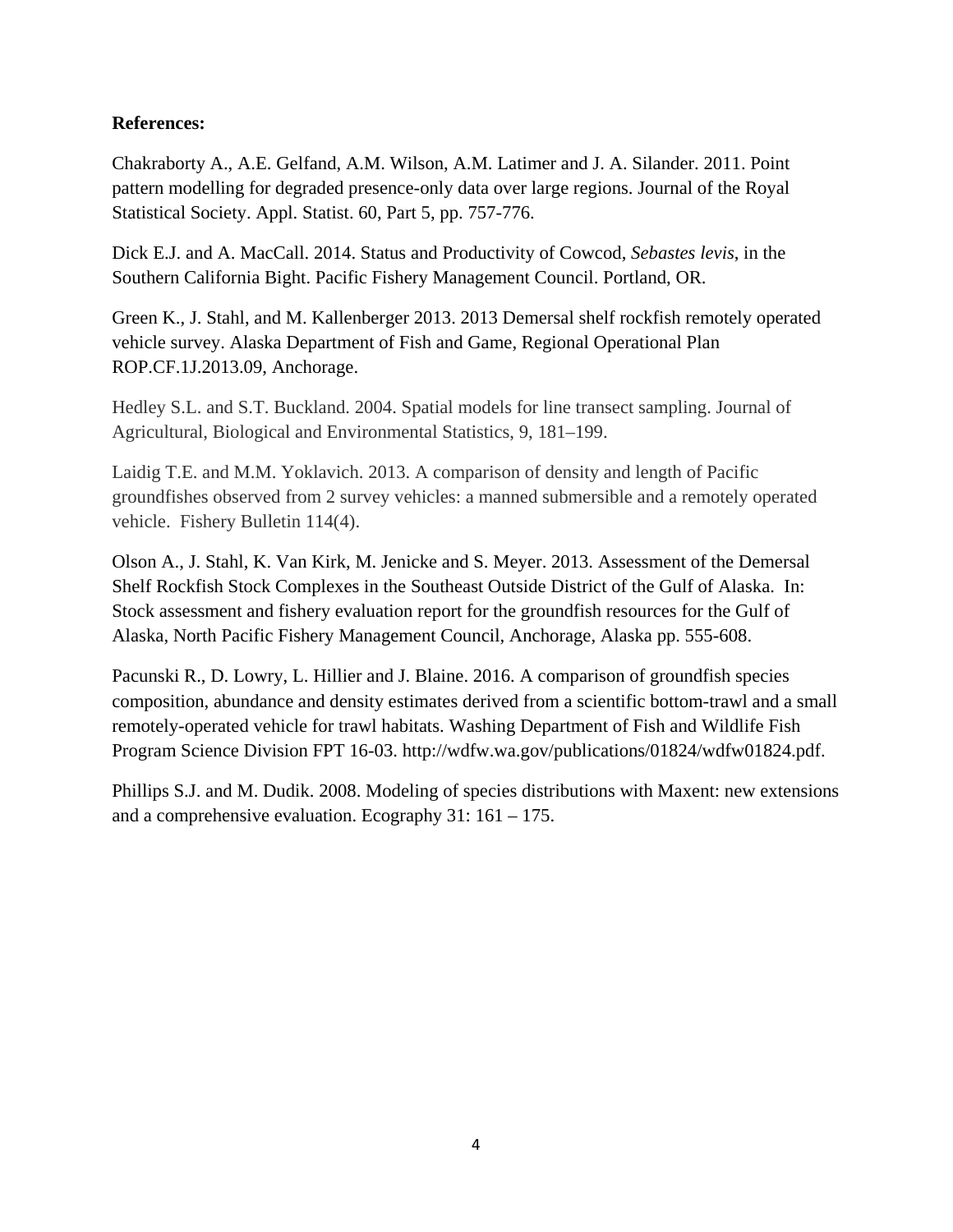## **References:**

Chakraborty A., A.E. Gelfand, A.M. Wilson, A.M. Latimer and J. A. Silander. 2011. Point pattern modelling for degraded presence-only data over large regions. Journal of the Royal Statistical Society. Appl. Statist. 60, Part 5, pp. 757-776.

Dick E.J. and A. MacCall. 2014. Status and Productivity of Cowcod, *Sebastes levis*, in the Southern California Bight. Pacific Fishery Management Council. Portland, OR.

Green K., J. Stahl, and M. Kallenberger 2013. 2013 Demersal shelf rockfish remotely operated vehicle survey. Alaska Department of Fish and Game, Regional Operational Plan ROP.CF.1J.2013.09, Anchorage.

Hedley S.L. and S.T. Buckland. 2004. Spatial models for line transect sampling. Journal of Agricultural, Biological and Environmental Statistics, 9, 181–199.

Laidig T.E. and M.M. Yoklavich. 2013. A comparison of density and length of Pacific groundfishes observed from 2 survey vehicles: a manned submersible and a remotely operated vehicle. Fishery Bulletin 114(4).

Olson A., J. Stahl, K. Van Kirk, M. Jenicke and S. Meyer. 2013. Assessment of the Demersal Shelf Rockfish Stock Complexes in the Southeast Outside District of the Gulf of Alaska. In: Stock assessment and fishery evaluation report for the groundfish resources for the Gulf of Alaska, North Pacific Fishery Management Council, Anchorage, Alaska pp. 555-608.

Pacunski R., D. Lowry, L. Hillier and J. Blaine. 2016. A comparison of groundfish species composition, abundance and density estimates derived from a scientific bottom-trawl and a small remotely-operated vehicle for trawl habitats. Washing Department of Fish and Wildlife Fish Program Science Division FPT 16-03. [http://wdfw.wa.gov/publications/01824/wdfw01824.pdf.](http://wdfw.wa.gov/publications/01824/wdfw01824.pdf)

Phillips S.J. and M. Dudik. 2008. Modeling of species distributions with Maxent: new extensions and a comprehensive evaluation. Ecography 31: 161 – 175.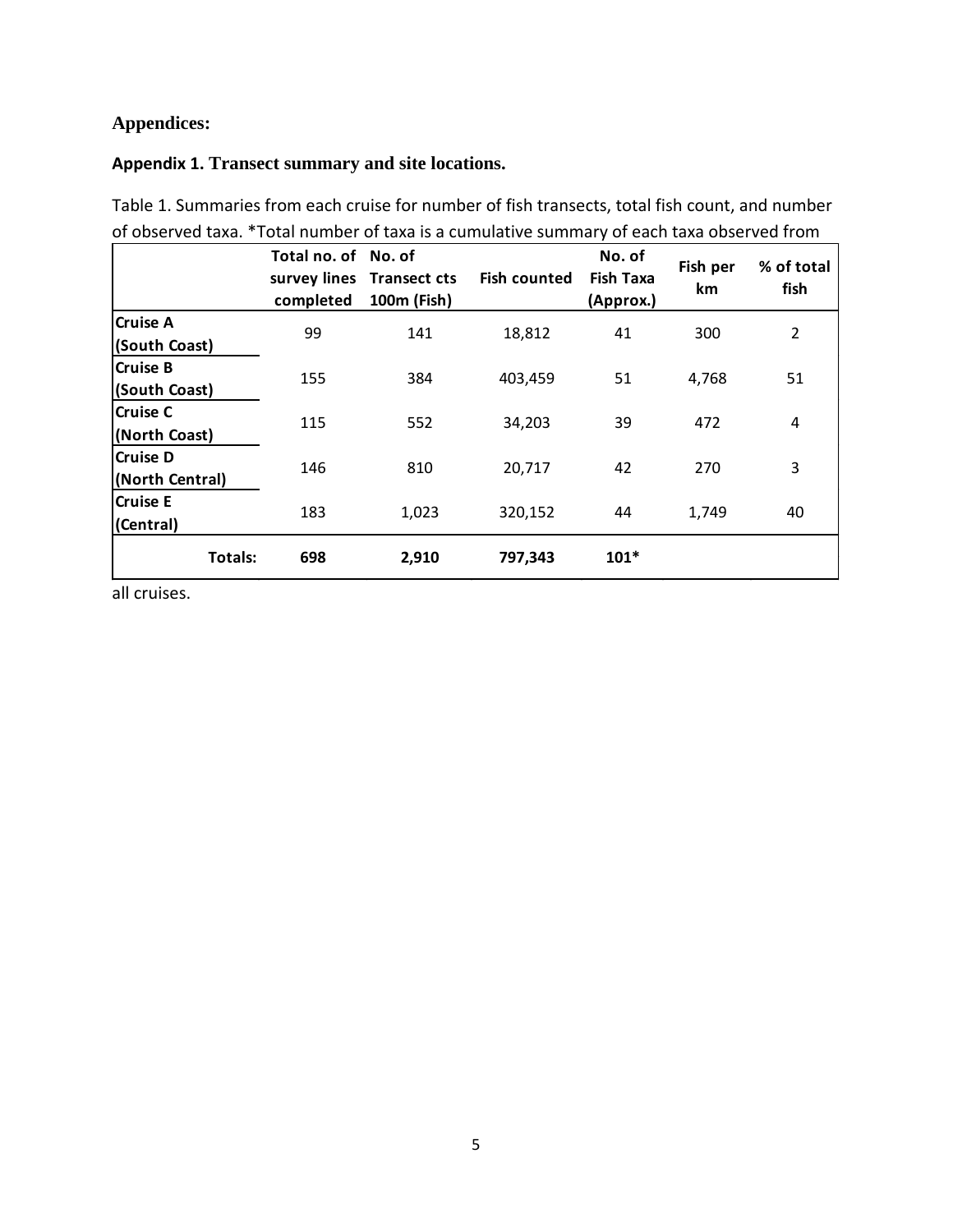# **Appendices:**

### **Appendix 1. Transect summary and site locations.**

Table 1. Summaries from each cruise for number of fish transects, total fish count, and number of observed taxa. \*Total number of taxa is a cumulative summary of each taxa observed from

|                                    | Total no. of No. of<br>completed | survey lines Transect cts<br>100m (Fish) | <b>Fish counted</b> | No. of<br><b>Fish Taxa</b><br>(Approx.) | Fish per<br>km | % of total<br>fish |
|------------------------------------|----------------------------------|------------------------------------------|---------------------|-----------------------------------------|----------------|--------------------|
| <b>Cruise A</b><br>(South Coast)   | 99                               | 141                                      | 18,812              | 41                                      | 300            | $\overline{2}$     |
| <b>Cruise B</b><br>(South Coast)   | 155                              | 384                                      | 403,459             | 51                                      | 4,768          | 51                 |
| <b>Cruise C</b><br>(North Coast)   | 115                              | 552                                      | 34,203              | 39                                      | 472            | $\overline{4}$     |
| <b>Cruise D</b><br>(North Central) | 146                              | 810                                      | 20,717              | 42                                      | 270            | 3                  |
| <b>Cruise E</b><br>(Central)       | 183                              | 1,023                                    | 320,152             | 44                                      | 1,749          | 40                 |
| <b>Totals:</b>                     | 698                              | 2,910                                    | 797,343             | $101*$                                  |                |                    |

all cruises.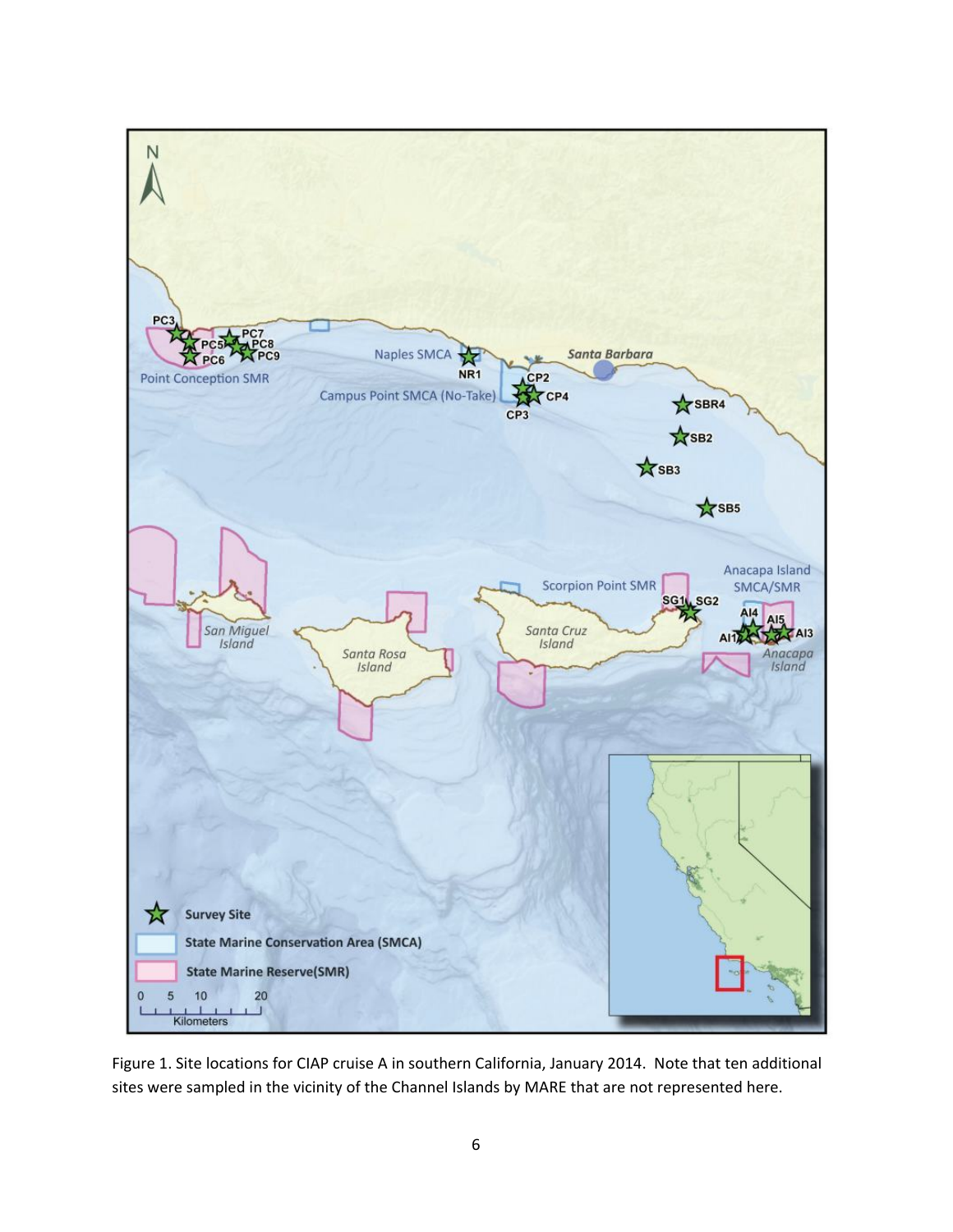

Figure 1. Site locations for CIAP cruise A in southern California, January 2014. Note that ten additional sites were sampled in the vicinity of the Channel Islands by MARE that are not represented here.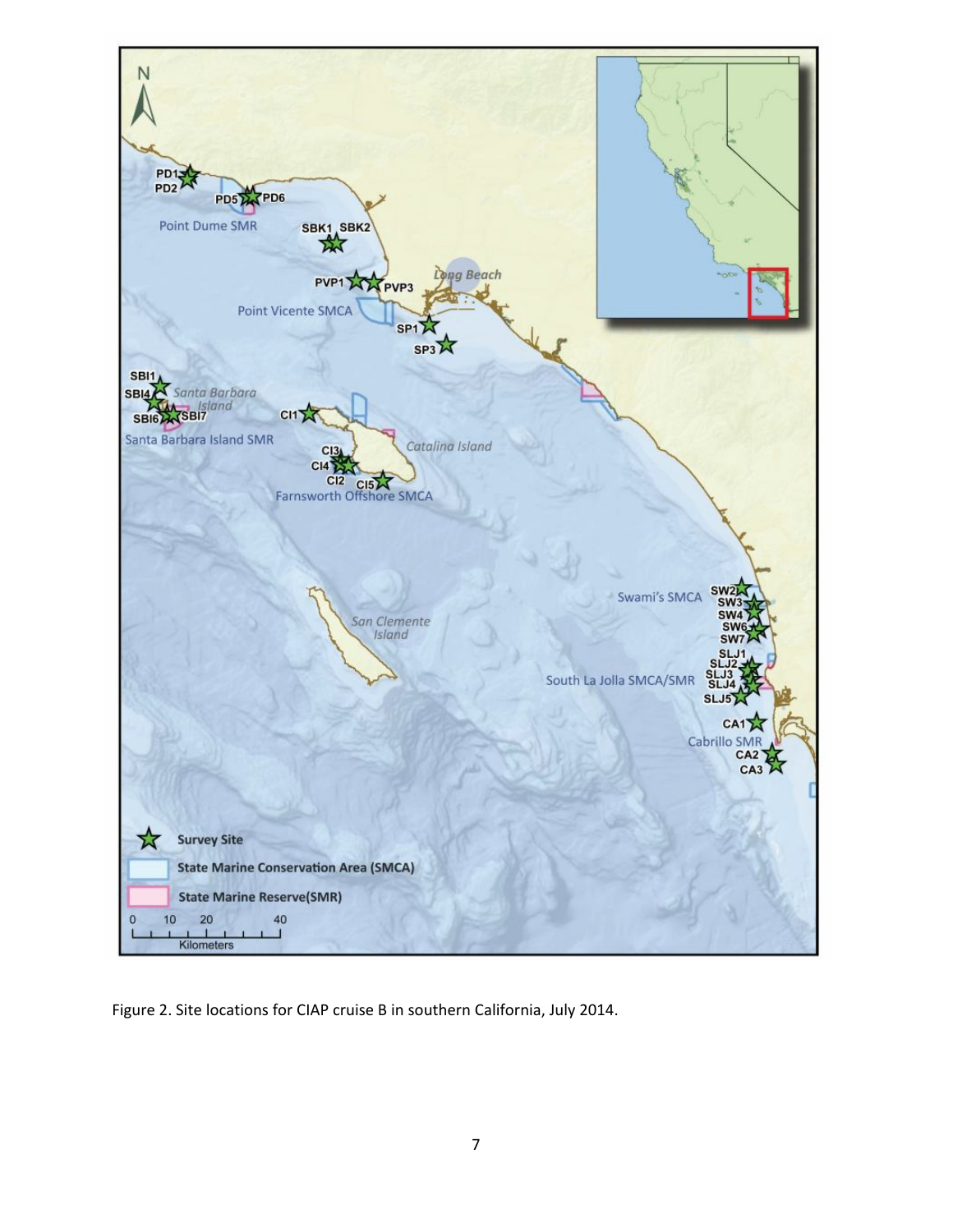

Figure 2. Site locations for CIAP cruise B in southern California, July 2014.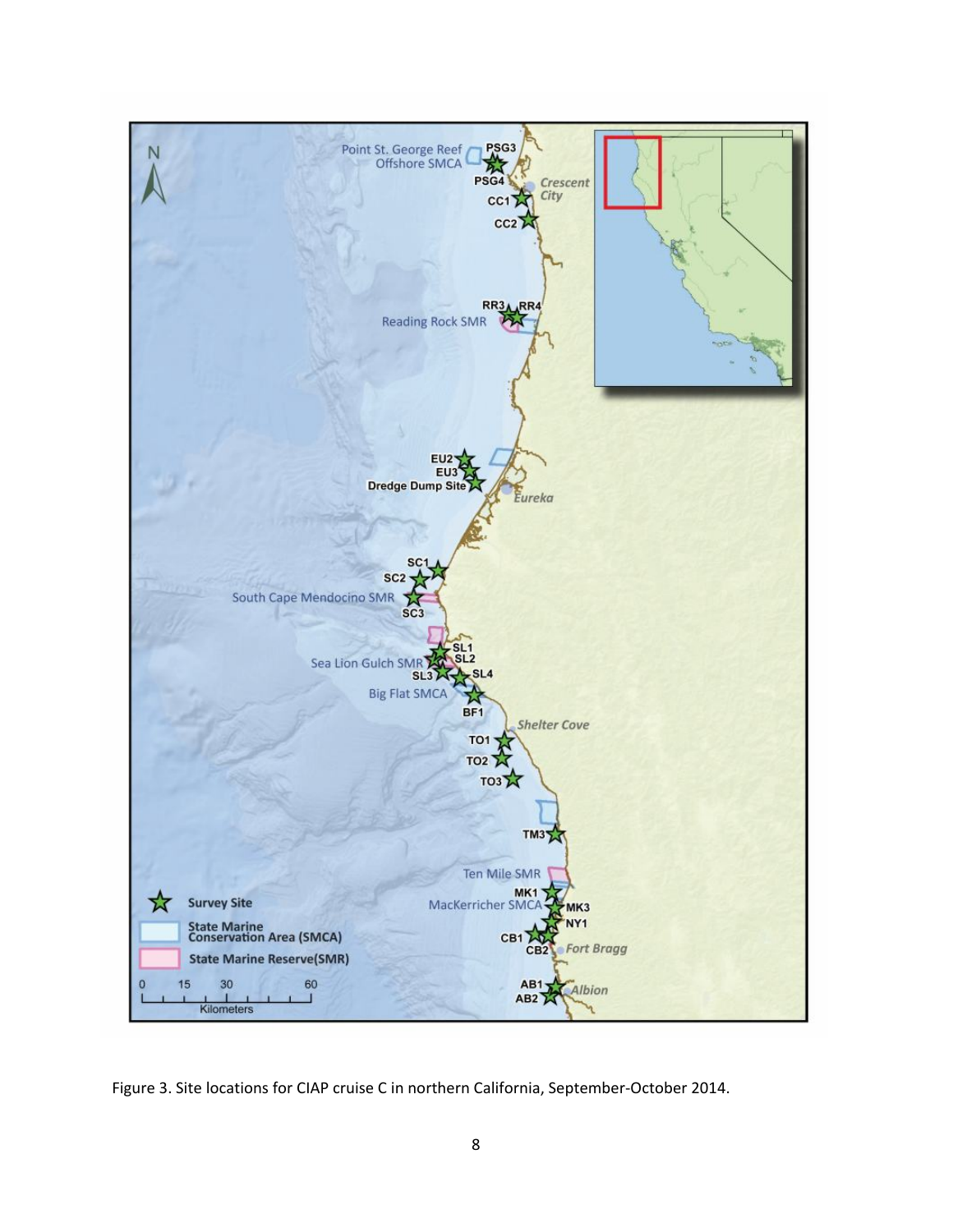

Figure 3. Site locations for CIAP cruise C in northern California, September-October 2014.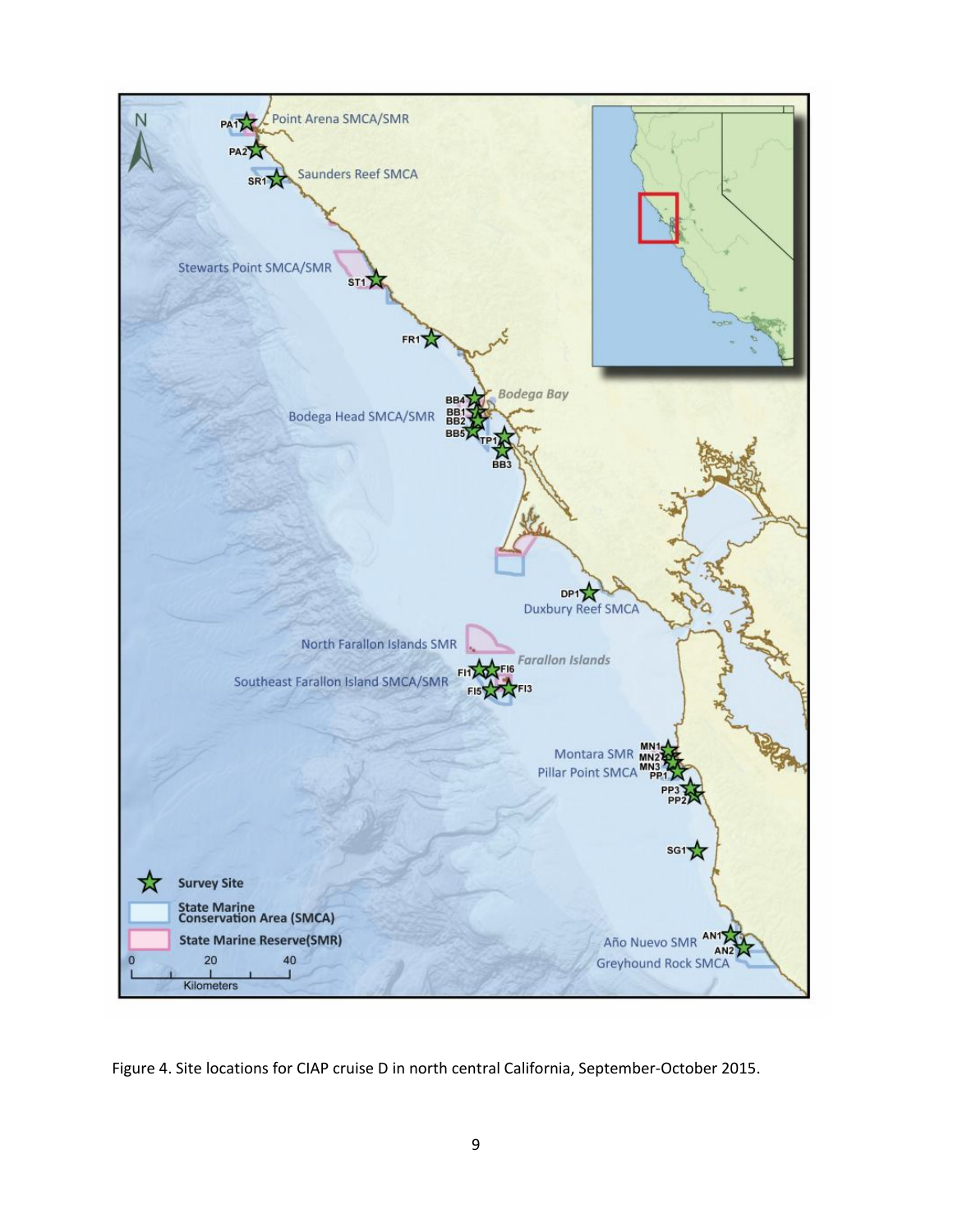

Figure 4. Site locations for CIAP cruise D in north central California, September-October 2015.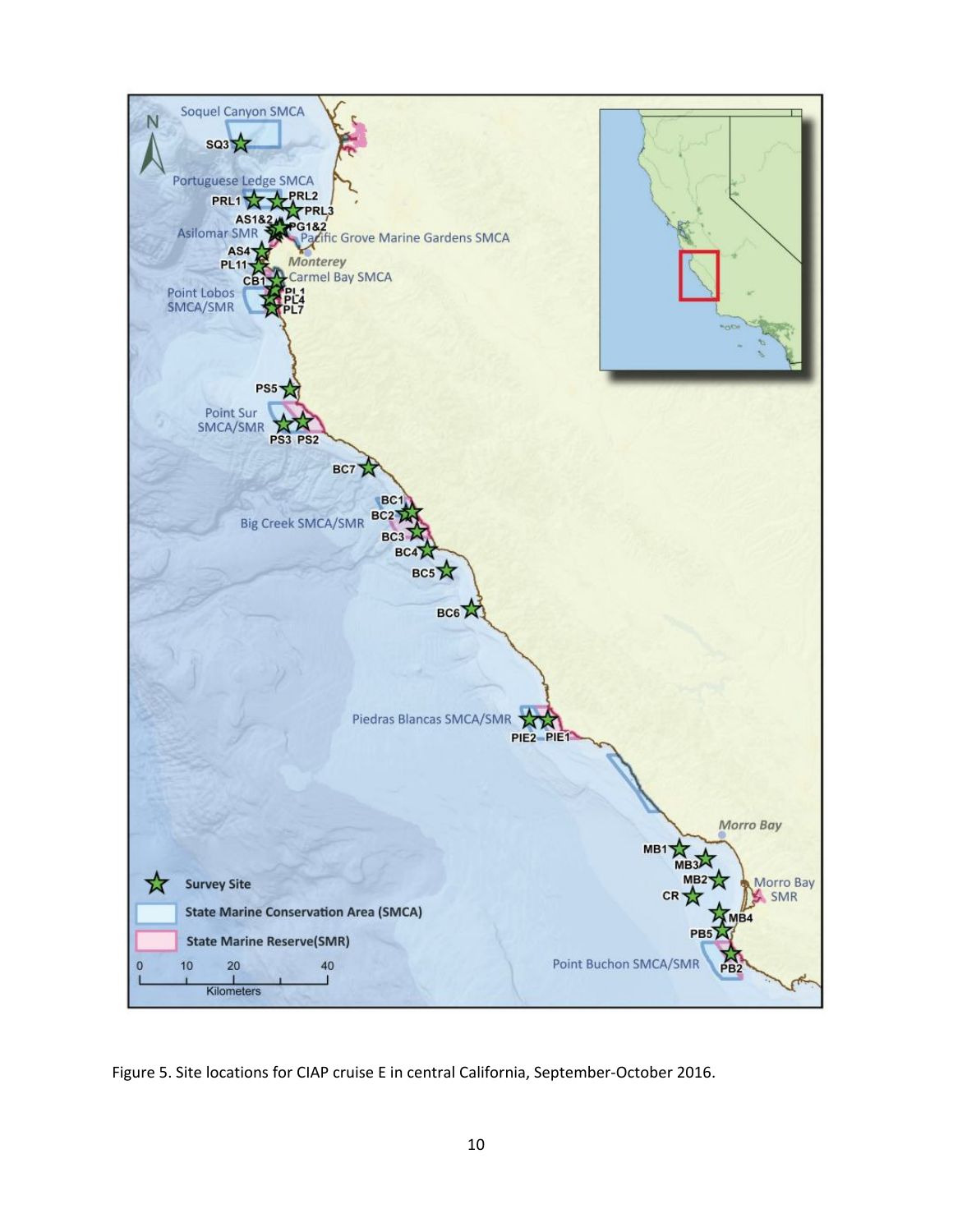

Figure 5. Site locations for CIAP cruise E in central California, September-October 2016.